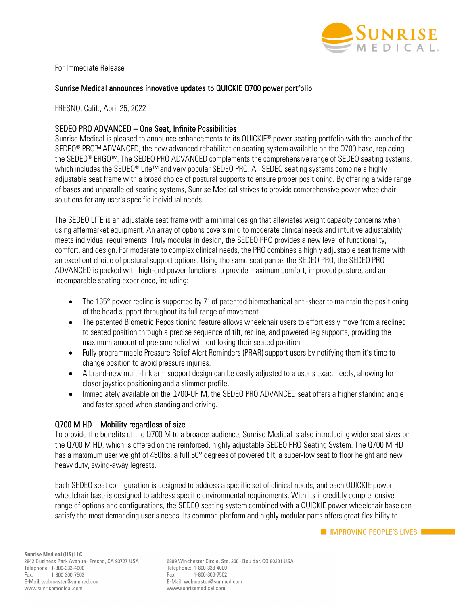

For Immediate Release

## Sunrise Medical announces innovative updates to QUICKIE Q700 power portfolio

FRESNO, Calif., April 25, 2022

## SEDEO PRO ADVANCED – One Seat, Infinite Possibilities

Sunrise Medical is pleased to announce enhancements to its QUICKIE® power seating portfolio with the launch of the SEDEO<sup>®</sup> PRO™ ADVANCED, the new advanced rehabilitation seating system available on the Q700 base, replacing the SEDEO® ERGO™. The SEDEO PRO ADVANCED complements the comprehensive range of SEDEO seating systems, which includes the SEDEO® Lite™ and very popular SEDEO PRO. All SEDEO seating systems combine a highly adjustable seat frame with a broad choice of postural supports to ensure proper positioning. By offering a wide range of bases and unparalleled seating systems, Sunrise Medical strives to provide comprehensive power wheelchair solutions for any user's specific individual needs.

The SEDEO LITE is an adjustable seat frame with a minimal design that alleviates weight capacity concerns when using aftermarket equipment. An array of options covers mild to moderate clinical needs and intuitive adjustability meets individual requirements. Truly modular in design, the SEDEO PRO provides a new level of functionality, comfort, and design. For moderate to complex clinical needs, the PRO combines a highly adjustable seat frame with an excellent choice of postural support options. Using the same seat pan as the SEDEO PRO, the SEDEO PRO ADVANCED is packed with high-end power functions to provide maximum comfort, improved posture, and an incomparable seating experience, including:

- The 165° power recline is supported by 7" of patented biomechanical anti-shear to maintain the positioning of the head support throughout its full range of movement.
- The patented Biometric Repositioning feature allows wheelchair users to effortlessly move from a reclined to seated position through a precise sequence of tilt, recline, and powered leg supports, providing the maximum amount of pressure relief without losing their seated position.
- Fully programmable Pressure Relief Alert Reminders (PRAR) support users by notifying them it's time to change position to avoid pressure injuries.
- A brand-new multi-link arm support design can be easily adjusted to a user's exact needs, allowing for closer joystick positioning and a slimmer profile.
- Immediately available on the Q700-UP M, the SEDEO PRO ADVANCED seat offers a higher standing angle and faster speed when standing and driving.

## Q700 M HD – Mobility regardless of size

To provide the benefits of the Q700 M to a broader audience, Sunrise Medical is also introducing wider seat sizes on the Q700 M HD, which is offered on the reinforced, highly adjustable SEDEO PRO Seating System. The Q700 M HD has a maximum user weight of 450lbs, a full 50° degrees of powered tilt, a super-low seat to floor height and new heavy duty, swing-away legrests.

Each SEDEO seat configuration is designed to address a specific set of clinical needs, and each QUICKIE power wheelchair base is designed to address specific environmental requirements. With its incredibly comprehensive range of options and configurations, the SEDEO seating system combined with a QUICKIE power wheelchair base can satisfy the most demanding user's needs. Its common platform and highly modular parts offers great flexibility to

6899 Winchester Circle, Ste. 200 · Boulder, CO 80301 USA Telephone: 1-800-333-4000 1-800-300-7502 Fax: E-Mail: webmaster@sunmed.com www.sunrisemedical.com